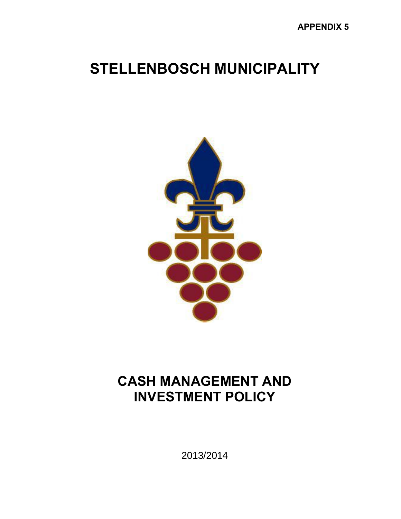# **STELLENBOSCH MUNICIPALITY**



# **CASH MANAGEMENT AND INVESTMENT POLICY**

2013/2014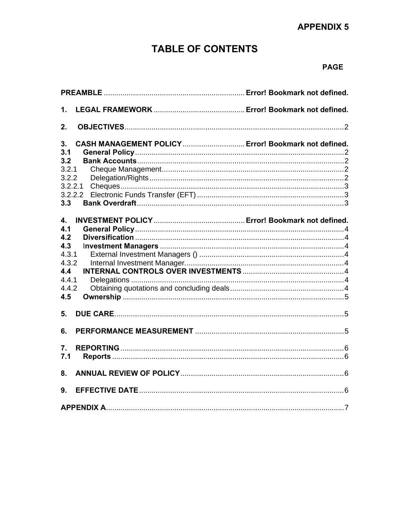# **APPENDIX 5**

# **TABLE OF CONTENTS**

# **PAGE**

| 1.                                                               |  |  |  |  |
|------------------------------------------------------------------|--|--|--|--|
| 2.                                                               |  |  |  |  |
| CASH MANAGEMENT POLICY Error! Bookmark not defined.<br>3.<br>3.1 |  |  |  |  |
| 3.2                                                              |  |  |  |  |
| 3.2.1                                                            |  |  |  |  |
| 3.2.2                                                            |  |  |  |  |
| 3.2.2.1                                                          |  |  |  |  |
| 3.2.2.2                                                          |  |  |  |  |
| 3.3                                                              |  |  |  |  |
|                                                                  |  |  |  |  |
| 4.                                                               |  |  |  |  |
| 4.1<br>4.2                                                       |  |  |  |  |
| 4.3                                                              |  |  |  |  |
| 4.3.1                                                            |  |  |  |  |
| 4.3.2                                                            |  |  |  |  |
| 4.4                                                              |  |  |  |  |
| 4.4.1                                                            |  |  |  |  |
| 4.4.2                                                            |  |  |  |  |
| 4.5                                                              |  |  |  |  |
| 5.                                                               |  |  |  |  |
|                                                                  |  |  |  |  |
| 6.                                                               |  |  |  |  |
| 7.                                                               |  |  |  |  |
| 7.1                                                              |  |  |  |  |
| 8.                                                               |  |  |  |  |
| 9.                                                               |  |  |  |  |
|                                                                  |  |  |  |  |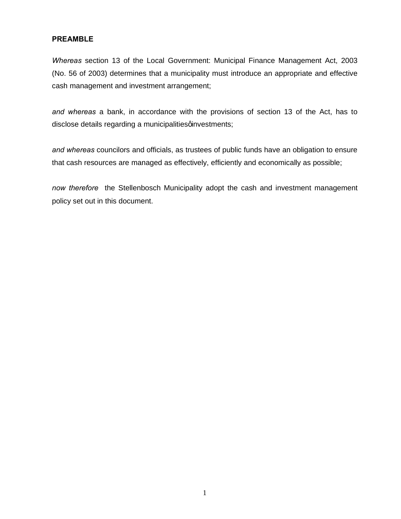# **PREAMBLE**

*Whereas* section 13 of the Local Government: Municipal Finance Management Act, 2003 (No. 56 of 2003) determines that a municipality must introduce an appropriate and effective cash management and investment arrangement;

*and whereas* a bank, in accordance with the provisions of section 13 of the Act, has to disclose details regarding a municipalities qinvestments;

*and whereas* councilors and officials, as trustees of public funds have an obligation to ensure that cash resources are managed as effectively, efficiently and economically as possible;

*now therefore* the Stellenbosch Municipality adopt the cash and investment management policy set out in this document.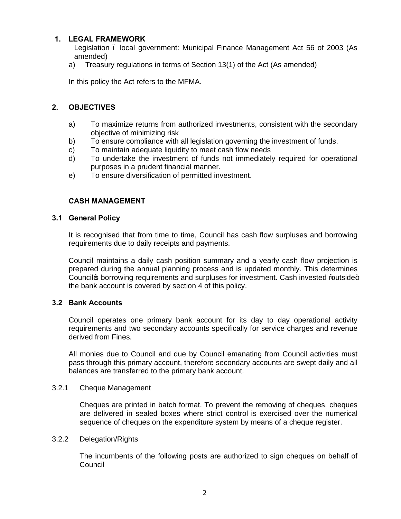# **1. LEGAL FRAMEWORK**

Legislation – local government: Municipal Finance Management Act 56 of 2003 (As amended)

a) Treasury regulations in terms of Section 13(1) of the Act (As amended)

In this policy the Act refers to the MFMA.

# **2. OBJECTIVES**

- a) To maximize returns from authorized investments, consistent with the secondary objective of minimizing risk
- b) To ensure compliance with all legislation governing the investment of funds.
- c) To maintain adequate liquidity to meet cash flow needs
- d) To undertake the investment of funds not immediately required for operational purposes in a prudent financial manner.
- e) To ensure diversification of permitted investment.

# **CASH MANAGEMENT**

# **3.1 General Policy**

It is recognised that from time to time, Council has cash flow surpluses and borrowing requirements due to daily receipts and payments.

Council maintains a daily cash position summary and a yearly cash flow projection is prepared during the annual planning process and is updated monthly. This determines Council to borrowing requirements and surpluses for investment. Cash invested % autside+ the bank account is covered by section 4 of this policy.

# **3.2 Bank Accounts**

Council operates one primary bank account for its day to day operational activity requirements and two secondary accounts specifically for service charges and revenue derived from Fines.

All monies due to Council and due by Council emanating from Council activities must pass through this primary account, therefore secondary accounts are swept daily and all balances are transferred to the primary bank account.

#### 3.2.1 Cheque Management

Cheques are printed in batch format. To prevent the removing of cheques, cheques are delivered in sealed boxes where strict control is exercised over the numerical sequence of cheques on the expenditure system by means of a cheque register.

#### 3.2.2 Delegation/Rights

The incumbents of the following posts are authorized to sign cheques on behalf of **Council**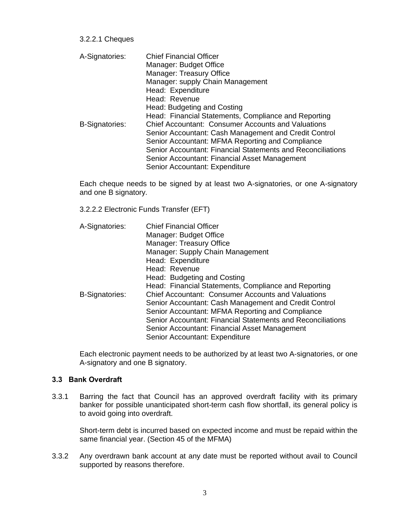3.2.2.1 Cheques

| A-Signatories:        | <b>Chief Financial Officer</b>                              |  |  |
|-----------------------|-------------------------------------------------------------|--|--|
|                       | Manager: Budget Office                                      |  |  |
|                       | Manager: Treasury Office                                    |  |  |
|                       | Manager: supply Chain Management                            |  |  |
|                       | Head: Expenditure                                           |  |  |
|                       | Head: Revenue                                               |  |  |
|                       | Head: Budgeting and Costing                                 |  |  |
|                       | Head: Financial Statements, Compliance and Reporting        |  |  |
| <b>B-Signatories:</b> | <b>Chief Accountant: Consumer Accounts and Valuations</b>   |  |  |
|                       | Senior Accountant: Cash Management and Credit Control       |  |  |
|                       | Senior Accountant: MFMA Reporting and Compliance            |  |  |
|                       | Senior Accountant: Financial Statements and Reconciliations |  |  |
|                       | Senior Accountant: Financial Asset Management               |  |  |
|                       | Senior Accountant: Expenditure                              |  |  |

Each cheque needs to be signed by at least two A-signatories, or one A-signatory and one B signatory.

3.2.2.2 Electronic Funds Transfer (EFT)

| A-Signatories:        | <b>Chief Financial Officer</b><br>Manager: Budget Office<br>Manager: Treasury Office<br>Manager: Supply Chain Management<br>Head: Expenditure<br>Head: Revenue<br>Head: Budgeting and Costing                                                                                                                                                                                    |
|-----------------------|----------------------------------------------------------------------------------------------------------------------------------------------------------------------------------------------------------------------------------------------------------------------------------------------------------------------------------------------------------------------------------|
| <b>B-Signatories:</b> | Head: Financial Statements, Compliance and Reporting<br><b>Chief Accountant: Consumer Accounts and Valuations</b><br>Senior Accountant: Cash Management and Credit Control<br>Senior Accountant: MFMA Reporting and Compliance<br>Senior Accountant: Financial Statements and Reconciliations<br>Senior Accountant: Financial Asset Management<br>Senior Accountant: Expenditure |

Each electronic payment needs to be authorized by at least two A-signatories, or one A-signatory and one B signatory.

# **3.3 Bank Overdraft**

3.3.1 Barring the fact that Council has an approved overdraft facility with its primary banker for possible unanticipated short-term cash flow shortfall, its general policy is to avoid going into overdraft.

Short-term debt is incurred based on expected income and must be repaid within the same financial year. (Section 45 of the MFMA)

3.3.2 Any overdrawn bank account at any date must be reported without avail to Council supported by reasons therefore.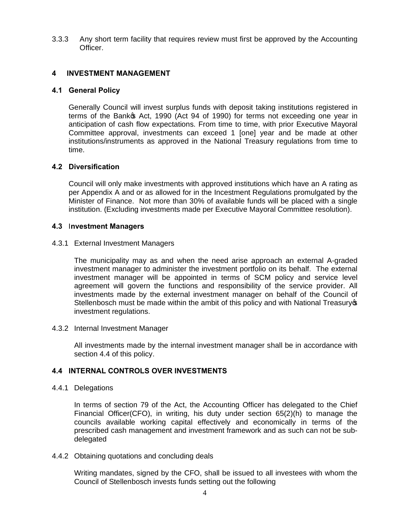3.3.3 Any short term facility that requires review must first be approved by the Accounting Officer.

# **4 INVESTMENT MANAGEMENT**

#### **4.1 General Policy**

 Generally Council will invest surplus funds with deposit taking institutions registered in terms of the Banko Act, 1990 (Act 94 of 1990) for terms not exceeding one year in anticipation of cash flow expectations. From time to time, with prior Executive Mayoral Committee approval, investments can exceed 1 [one] year and be made at other institutions/instruments as approved in the National Treasury regulations from time to time.

#### **4.2 Diversification**

Council will only make investments with approved institutions which have an A rating as per Appendix A and or as allowed for in the Incestment Regulations promulgated by the Minister of Finance. Not more than 30% of available funds will be placed with a single institution. (Excluding investments made per Executive Mayoral Committee resolution).

#### **4.3** I**nvestment Managers**

#### 4.3.1 External Investment Managers

The municipality may as and when the need arise approach an external A-graded investment manager to administer the investment portfolio on its behalf. The external investment manager will be appointed in terms of SCM policy and service level agreement will govern the functions and responsibility of the service provider. All investments made by the external investment manager on behalf of the Council of Stellenbosch must be made within the ambit of this policy and with National Treasury op investment regulations.

#### 4.3.2 Internal Investment Manager

All investments made by the internal investment manager shall be in accordance with section 4.4 of this policy.

# **4.4 INTERNAL CONTROLS OVER INVESTMENTS**

#### 4.4.1 Delegations

In terms of section 79 of the Act, the Accounting Officer has delegated to the Chief Financial Officer(CFO), in writing, his duty under section 65(2)(h) to manage the councils available working capital effectively and economically in terms of the prescribed cash management and investment framework and as such can not be subdelegated

#### 4.4.2 Obtaining quotations and concluding deals

Writing mandates, signed by the CFO, shall be issued to all investees with whom the Council of Stellenbosch invests funds setting out the following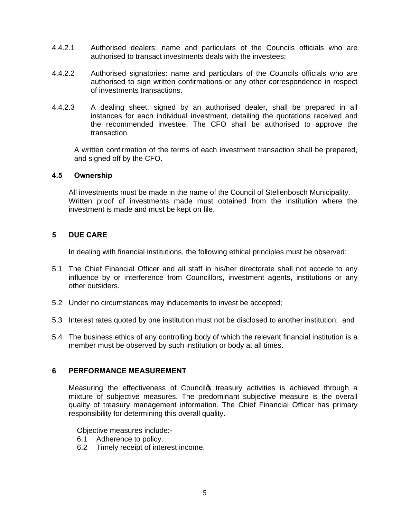- 4.4.2.1 Authorised dealers: name and particulars of the Councils officials who are authorised to transact investments deals with the investees;
- 4.4.2.2 Authorised signatories: name and particulars of the Councils officials who are authorised to sign written confirmations or any other correspondence in respect of investments transactions.
- 4.4.2.3 A dealing sheet, signed by an authorised dealer, shall be prepared in all instances for each individual investment, detailing the quotations received and the recommended investee. The CFO shall be authorised to approve the transaction.

A written confirmation of the terms of each investment transaction shall be prepared, and signed off by the CFO.

#### **4.5 Ownership**

All investments must be made in the name of the Council of Stellenbosch Municipality. Written proof of investments made must obtained from the institution where the investment is made and must be kept on file.

# **5 DUE CARE**

In dealing with financial institutions, the following ethical principles must be observed:

- 5.1 The Chief Financial Officer and all staff in his/her directorate shall not accede to any influence by or interference from Councillors, investment agents, institutions or any other outsiders.
- 5.2 Under no circumstances may inducements to invest be accepted;
- 5.3 Interest rates quoted by one institution must not be disclosed to another institution; and
- 5.4 The business ethics of any controlling body of which the relevant financial institution is a member must be observed by such institution or body at all times.

#### **6 PERFORMANCE MEASUREMENT**

Measuring the effectiveness of Councilos treasury activities is achieved through a mixture of subjective measures. The predominant subjective measure is the overall quality of treasury management information. The Chief Financial Officer has primary responsibility for determining this overall quality.

Objective measures include:-

- 6.1 Adherence to policy.
- 6.2 Timely receipt of interest income.